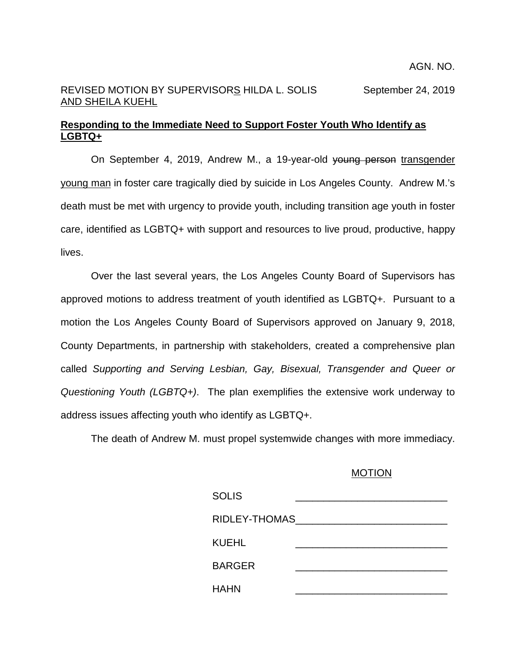## REVISED MOTION BY SUPERVISORS HILDA L. SOLIS September 24, 2019 AND SHEILA KUEHL

## **Responding to the Immediate Need to Support Foster Youth Who Identify as LGBTQ+**

On September 4, 2019, Andrew M., a 19-year-old young person transgender young man in foster care tragically died by suicide in Los Angeles County. Andrew M.'s death must be met with urgency to provide youth, including transition age youth in foster care, identified as LGBTQ+ with support and resources to live proud, productive, happy lives.

Over the last several years, the Los Angeles County Board of Supervisors has approved motions to address treatment of youth identified as LGBTQ+. Pursuant to a motion the Los Angeles County Board of Supervisors approved on January 9, 2018, County Departments, in partnership with stakeholders, created a comprehensive plan called *Supporting and Serving Lesbian, Gay, Bisexual, Transgender and Queer or Questioning Youth (LGBTQ+)*. The plan exemplifies the extensive work underway to address issues affecting youth who identify as LGBTQ+.

The death of Andrew M. must propel systemwide changes with more immediacy.

## MOTION

| <b>SOLIS</b>  |  |
|---------------|--|
| RIDLEY-THOMAS |  |
| KUEHL         |  |
| <b>BARGER</b> |  |
| <b>HAHN</b>   |  |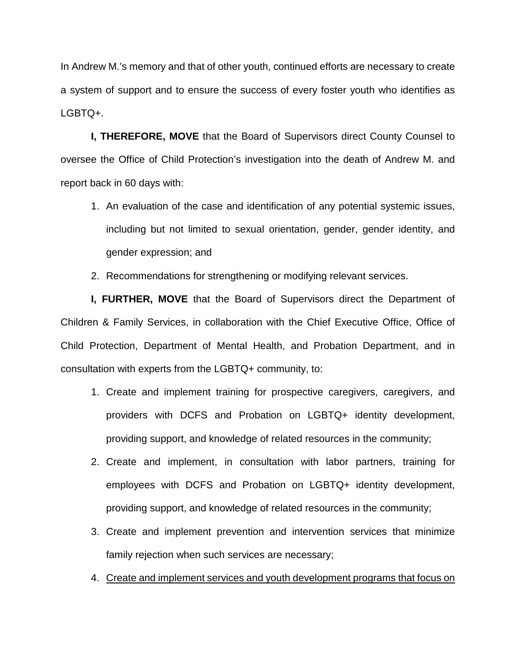In Andrew M.'s memory and that of other youth, continued efforts are necessary to create a system of support and to ensure the success of every foster youth who identifies as LGBTQ+.

**I, THEREFORE, MOVE** that the Board of Supervisors direct County Counsel to oversee the Office of Child Protection's investigation into the death of Andrew M. and report back in 60 days with:

- 1. An evaluation of the case and identification of any potential systemic issues, including but not limited to sexual orientation, gender, gender identity, and gender expression; and
- 2. Recommendations for strengthening or modifying relevant services.

**I, FURTHER, MOVE** that the Board of Supervisors direct the Department of Children & Family Services, in collaboration with the Chief Executive Office, Office of Child Protection, Department of Mental Health, and Probation Department, and in consultation with experts from the LGBTQ+ community, to:

- 1. Create and implement training for prospective caregivers, caregivers, and providers with DCFS and Probation on LGBTQ+ identity development, providing support, and knowledge of related resources in the community;
- 2. Create and implement, in consultation with labor partners, training for employees with DCFS and Probation on LGBTQ+ identity development, providing support, and knowledge of related resources in the community;
- 3. Create and implement prevention and intervention services that minimize family rejection when such services are necessary;
- 4. Create and implement services and youth development programs that focus on